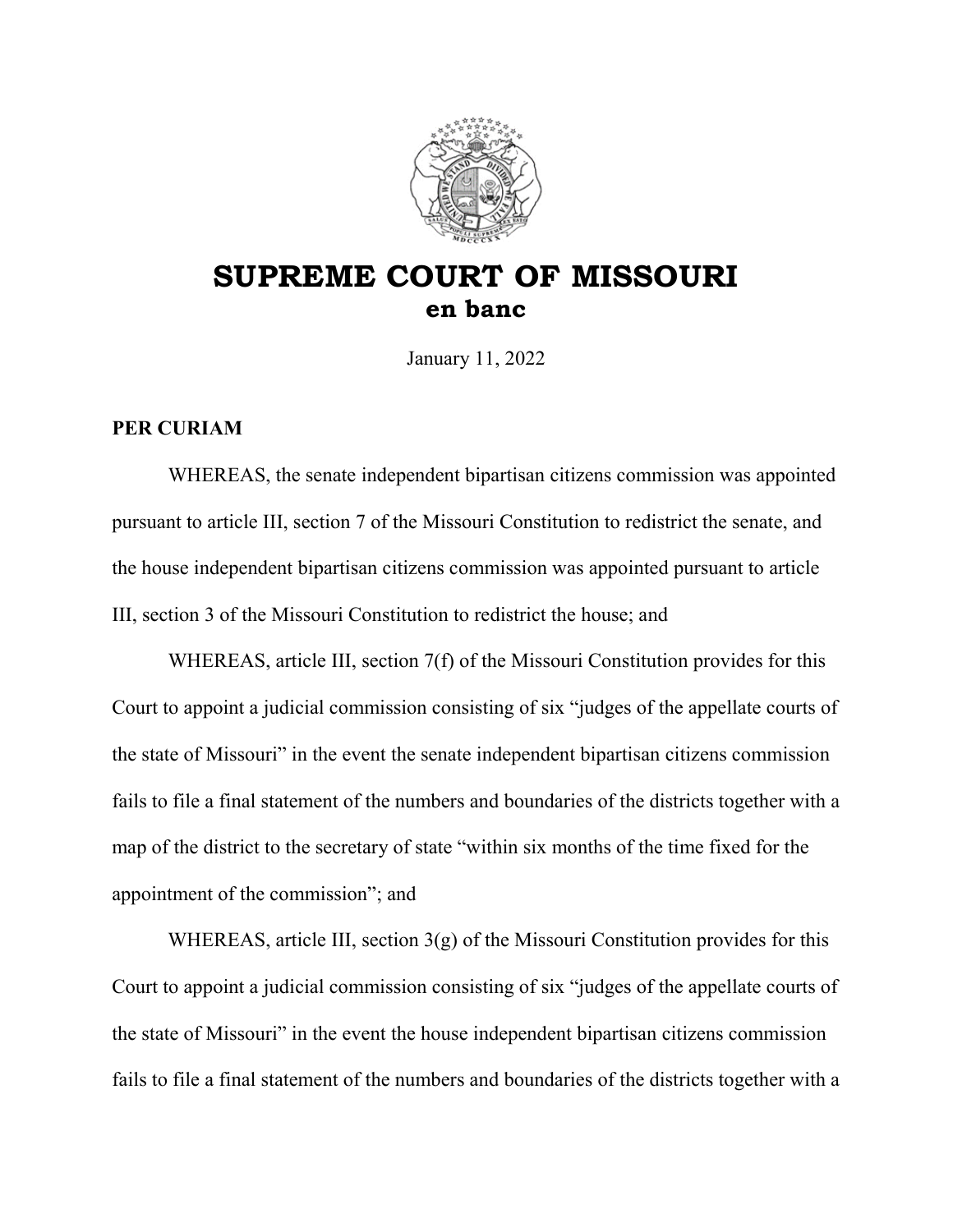

## **SUPREME COURT OF MISSOURI en banc**

January 11, 2022

## **PER CURIAM**

WHEREAS, the senate independent bipartisan citizens commission was appointed pursuant to article III, section 7 of the Missouri Constitution to redistrict the senate, and the house independent bipartisan citizens commission was appointed pursuant to article III, section 3 of the Missouri Constitution to redistrict the house; and

WHEREAS, article III, section 7(f) of the Missouri Constitution provides for this Court to appoint a judicial commission consisting of six "judges of the appellate courts of the state of Missouri" in the event the senate independent bipartisan citizens commission fails to file a final statement of the numbers and boundaries of the districts together with a map of the district to the secretary of state "within six months of the time fixed for the appointment of the commission"; and

WHEREAS, article III, section  $3(g)$  of the Missouri Constitution provides for this Court to appoint a judicial commission consisting of six "judges of the appellate courts of the state of Missouri" in the event the house independent bipartisan citizens commission fails to file a final statement of the numbers and boundaries of the districts together with a